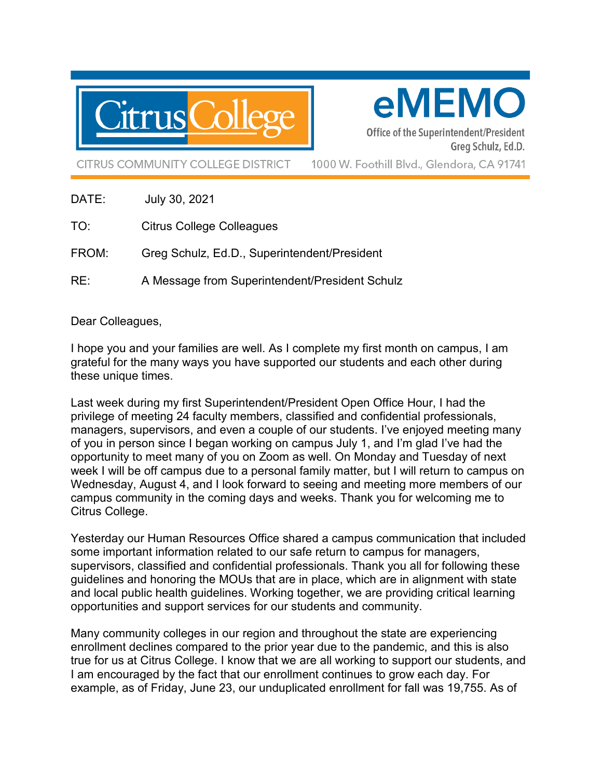

eMEMO

Office of the Superintendent/President Greg Schulz, Ed.D.

**CITRUS COMMUNITY COLLEGE DISTRICT** 

1000 W. Foothill Blvd., Glendora, CA 91741

- DATE: July 30, 2021
- TO: Citrus College Colleagues
- FROM: Greg Schulz, Ed.D., Superintendent/President
- RE: A Message from Superintendent/President Schulz

## Dear Colleagues,

I hope you and your families are well. As I complete my first month on campus, I am grateful for the many ways you have supported our students and each other during these unique times.

Last week during my first Superintendent/President Open Office Hour, I had the privilege of meeting 24 faculty members, classified and confidential professionals, managers, supervisors, and even a couple of our students. I've enjoyed meeting many of you in person since I began working on campus July 1, and I'm glad I've had the opportunity to meet many of you on Zoom as well. On Monday and Tuesday of next week I will be off campus due to a personal family matter, but I will return to campus on Wednesday, August 4, and I look forward to seeing and meeting more members of our campus community in the coming days and weeks. Thank you for welcoming me to Citrus College.

Yesterday our Human Resources Office shared a campus communication that included some important information related to our safe return to campus for managers, supervisors, classified and confidential professionals. Thank you all for following these guidelines and honoring the MOUs that are in place, which are in alignment with state and local public health guidelines. Working together, we are providing critical learning opportunities and support services for our students and community.

Many community colleges in our region and throughout the state are experiencing enrollment declines compared to the prior year due to the pandemic, and this is also true for us at Citrus College. I know that we are all working to support our students, and I am encouraged by the fact that our enrollment continues to grow each day. For example, as of Friday, June 23, our unduplicated enrollment for fall was 19,755. As of